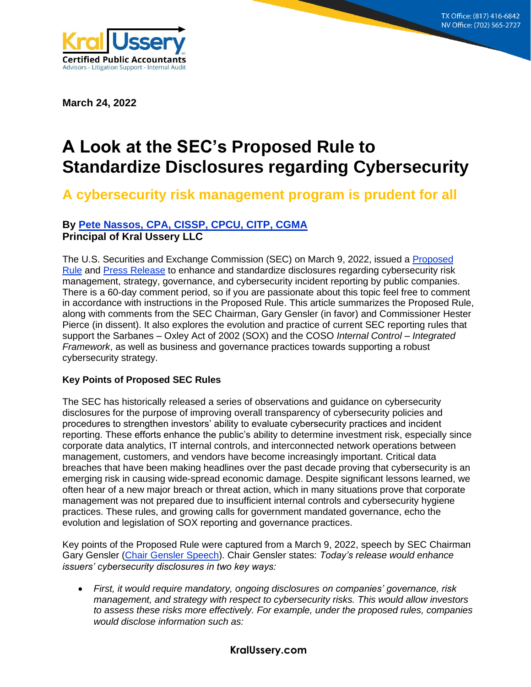**8215 S. Eastern Ave, Suite 235 Las Vegas, NV 89123 (702) 565-2727**



**March 24, 2022**

# **A Look at the SEC's Proposed Rule to Standardize Disclosures regarding Cybersecurity**

# **A cybersecurity risk management program is prudent for all**

# **By [Pete Nassos, CPA, CISSP, CPCU, CITP, CGMA](mailto:PNassos@KralUssery.com) Principal of Kral Ussery LLC**

The U.S. Securities and Exchange Commission (SEC) on March 9, 2022, issued a [Proposed](https://www.sec.gov/rules/proposed/2022/33-11038.pdf?utm_medium=email&utm_source=govdelivery)  [Rule](https://www.sec.gov/rules/proposed/2022/33-11038.pdf?utm_medium=email&utm_source=govdelivery) and [Press Release](https://www.sec.gov/news/press-release/2022-39) to enhance and standardize disclosures regarding cybersecurity risk management, strategy, governance, and cybersecurity incident reporting by public companies. There is a 60-day comment period, so if you are passionate about this topic feel free to comment in accordance with instructions in the Proposed Rule. This article summarizes the Proposed Rule, along with comments from the SEC Chairman, Gary Gensler (in favor) and Commissioner Hester Pierce (in dissent). It also explores the evolution and practice of current SEC reporting rules that support the Sarbanes – Oxley Act of 2002 (SOX) and the COSO *Internal Control – Integrated Framework*, as well as business and governance practices towards supporting a robust cybersecurity strategy.

# **Key Points of Proposed SEC Rules**

The SEC has historically released a series of observations and guidance on cybersecurity disclosures for the purpose of improving overall transparency of cybersecurity policies and procedures to strengthen investors' ability to evaluate cybersecurity practices and incident reporting. These efforts enhance the public's ability to determine investment risk, especially since corporate data analytics, IT internal controls, and interconnected network operations between management, customers, and vendors have become increasingly important. Critical data breaches that have been making headlines over the past decade proving that cybersecurity is an emerging risk in causing wide-spread economic damage. Despite significant lessons learned, we often hear of a new major breach or threat action, which in many situations prove that corporate management was not prepared due to insufficient internal controls and cybersecurity hygiene practices. These rules, and growing calls for government mandated governance, echo the evolution and legislation of SOX reporting and governance practices.

Key points of the Proposed Rule were captured from a March 9, 2022, speech by SEC Chairman Gary Gensler [\(Chair Gensler Speech\)](https://www.sec.gov/news/statement/gensler-cybersecurity-20220309). Chair Gensler states: *Today's release would enhance issuers' cybersecurity disclosures in two key ways:*

• *First, it would require mandatory, ongoing disclosures on companies' governance, risk management, and strategy with respect to cybersecurity risks. This would allow investors to assess these risks more effectively. For example, under the proposed rules, companies would disclose information such as:*

#### **KralUssery.com**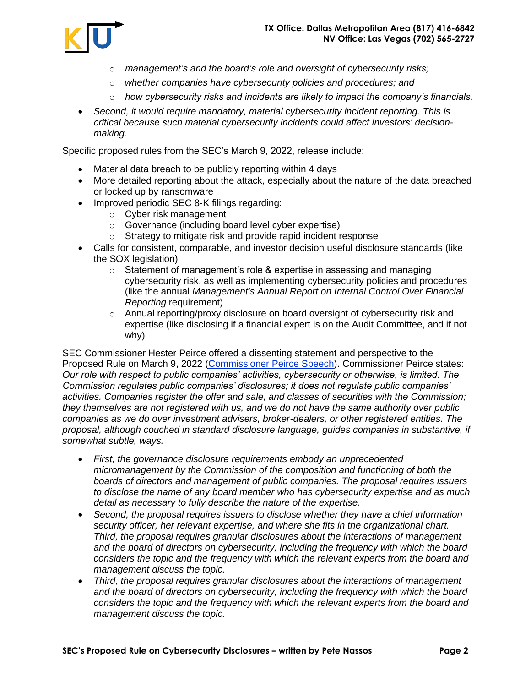

- o *management's and the board's role and oversight of cybersecurity risks;*
- o *whether companies have cybersecurity policies and procedures; and*
- o *how cybersecurity risks and incidents are likely to impact the company's financials.*
- *Second, it would require mandatory, material cybersecurity incident reporting. This is critical because such material cybersecurity incidents could affect investors' decisionmaking.*

Specific proposed rules from the SEC's March 9, 2022, release include:

- Material data breach to be publicly reporting within 4 days
- More detailed reporting about the attack, especially about the nature of the data breached or locked up by ransomware
- Improved periodic SEC 8-K filings regarding:
	- o Cyber risk management
	- o Governance (including board level cyber expertise)
	- o Strategy to mitigate risk and provide rapid incident response
- Calls for consistent, comparable, and investor decision useful disclosure standards (like the SOX legislation)
	- $\circ$  Statement of management's role & expertise in assessing and managing cybersecurity risk, as well as implementing cybersecurity policies and procedures (like the annual *Management's Annual Report on Internal Control Over Financial Reporting* requirement)
	- $\circ$  Annual reporting/proxy disclosure on board oversight of cybersecurity risk and expertise (like disclosing if a financial expert is on the Audit Committee, and if not why)

SEC Commissioner Hester Peirce offered a dissenting statement and perspective to the Proposed Rule on March 9, 2022 [\(Commissioner Peirce Speech\)](https://www.sec.gov/news/statement/peirce-statement-cybersecurity-030922). Commissioner Peirce states: *Our role with respect to public companies' activities, cybersecurity or otherwise, is limited. The Commission regulates public companies' disclosures; it does not regulate public companies' activities. Companies register the offer and sale, and classes of securities with the Commission; they themselves are not registered with us, and we do not have the same authority over public companies as we do over investment advisers, broker-dealers, or other registered entities. The proposal, although couched in standard disclosure language, guides companies in substantive, if somewhat subtle, ways.* 

- *First, the governance disclosure requirements embody an unprecedented micromanagement by the Commission of the composition and functioning of both the boards of directors and management of public companies. The proposal requires issuers to disclose the name of any board member who has cybersecurity expertise and as much detail as necessary to fully describe the nature of the expertise.*
- *Second, the proposal requires issuers to disclose whether they have a chief information security officer, her relevant expertise, and where she fits in the organizational chart. Third, the proposal requires granular disclosures about the interactions of management and the board of directors on cybersecurity, including the frequency with which the board considers the topic and the frequency with which the relevant experts from the board and management discuss the topic.*
- *Third, the proposal requires granular disclosures about the interactions of management and the board of directors on cybersecurity, including the frequency with which the board considers the topic and the frequency with which the relevant experts from the board and management discuss the topic.*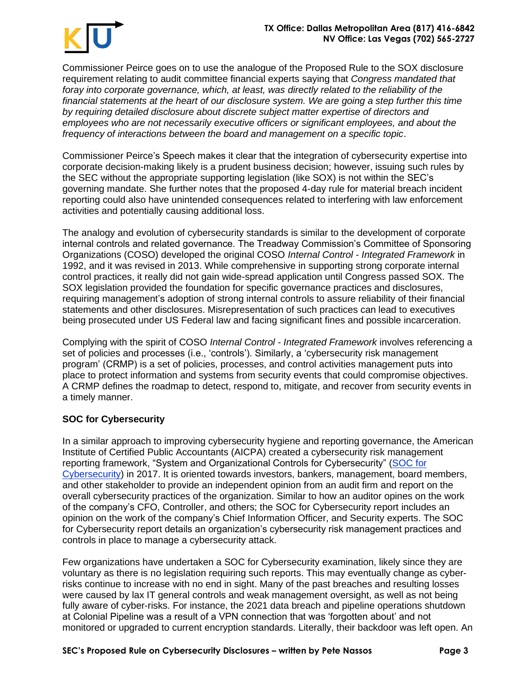

Commissioner Peirce goes on to use the analogue of the Proposed Rule to the SOX disclosure requirement relating to audit committee financial experts saying that *Congress mandated that foray into corporate governance, which, at least, was directly related to the reliability of the financial statements at the heart of our disclosure system. We are going a step further this time by requiring detailed disclosure about discrete subject matter expertise of directors and employees who are not necessarily executive officers or significant employees, and about the frequency of interactions between the board and management on a specific topic*.

Commissioner Peirce's Speech makes it clear that the integration of cybersecurity expertise into corporate decision-making likely is a prudent business decision; however, issuing such rules by the SEC without the appropriate supporting legislation (like SOX) is not within the SEC's governing mandate. She further notes that the proposed 4-day rule for material breach incident reporting could also have unintended consequences related to interfering with law enforcement activities and potentially causing additional loss.

The analogy and evolution of cybersecurity standards is similar to the development of corporate internal controls and related governance. The Treadway Commission's Committee of Sponsoring Organizations (COSO) developed the original COSO *Internal Control - Integrated Framework* in 1992, and it was revised in 2013. While comprehensive in supporting strong corporate internal control practices, it really did not gain wide-spread application until Congress passed SOX. The SOX legislation provided the foundation for specific governance practices and disclosures, requiring management's adoption of strong internal controls to assure reliability of their financial statements and other disclosures. Misrepresentation of such practices can lead to executives being prosecuted under US Federal law and facing significant fines and possible incarceration.

Complying with the spirit of COSO *Internal Control - Integrated Framework* involves referencing a set of policies and processes (i.e., 'controls'). Similarly, a 'cybersecurity risk management program' (CRMP) is a set of policies, processes, and control activities management puts into place to protect information and systems from security events that could compromise objectives. A CRMP defines the roadmap to detect, respond to, mitigate, and recover from security events in a timely manner.

# **SOC for Cybersecurity**

In a similar approach to improving cybersecurity hygiene and reporting governance, the American Institute of Certified Public Accountants (AICPA) created a cybersecurity risk management reporting framework, "System and Organizational Controls for Cybersecurity" [\(SOC](https://us.aicpa.org/interestareas/frc/assuranceadvisoryservices/aicpacybersecurityinitiative) for [Cybersecurity\)](https://us.aicpa.org/interestareas/frc/assuranceadvisoryservices/aicpacybersecurityinitiative) in 2017. It is oriented towards investors, bankers, management, board members, and other stakeholder to provide an independent opinion from an audit firm and report on the overall cybersecurity practices of the organization. Similar to how an auditor opines on the work of the company's CFO, Controller, and others; the SOC for Cybersecurity report includes an opinion on the work of the company's Chief Information Officer, and Security experts. The SOC for Cybersecurity report details an organization's cybersecurity risk management practices and controls in place to manage a cybersecurity attack.

Few organizations have undertaken a SOC for Cybersecurity examination, likely since they are voluntary as there is no legislation requiring such reports. This may eventually change as cyberrisks continue to increase with no end in sight. Many of the past breaches and resulting losses were caused by lax IT general controls and weak management oversight, as well as not being fully aware of cyber-risks. For instance, the 2021 data breach and pipeline operations shutdown at Colonial Pipeline was a result of a VPN connection that was 'forgotten about' and not monitored or upgraded to current encryption standards. Literally, their backdoor was left open. An